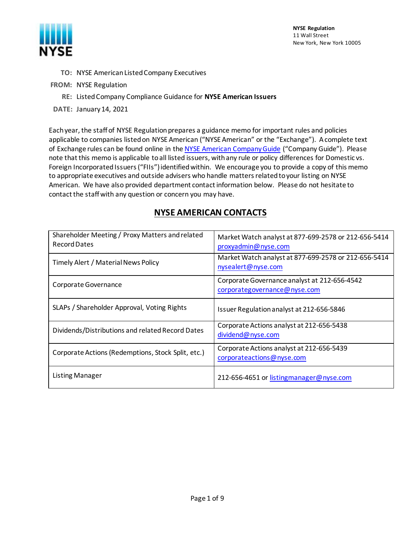

**NYSE Regulation** 11 Wall Street New York, New York 10005

- **TO:** NYSE American Listed Company Executives
- **FROM:** NYSE Regulation
	- **RE:** Listed Company Compliance Guidance for **NYSE American Issuers**
- **DATE:** January 14, 2021

Each year, the staff of NYSE Regulation prepares a guidance memo for important rules and policies applicable to companies listed on NYSE American ("NYSE American" or the "Exchange"). A complete text of Exchange rules can be found online in the NYSE American [Company Guide](https://nyseamericanguide.srorules.com/company-guide) ("Company Guide"). Please note that this memo is applicable to all listed issuers, with any rule or policy differences for Domestic vs. Foreign Incorporated Issuers ("FIIs") identified within. We encourage you to provide a copy of this memo to appropriate executives and outside advisers who handle matters related to your listing on NYSE American. We have also provided department contact information below. Please do not hesitate to contact the staff with any question or concern you may have.

# **NYSE AMERICAN CONTACTS**

| Shareholder Meeting / Proxy Matters and related<br><b>Record Dates</b> | Market Watch analyst at 877-699-2578 or 212-656-5414<br>proxyadmin@nyse.com  |
|------------------------------------------------------------------------|------------------------------------------------------------------------------|
| Timely Alert / Material News Policy                                    | Market Watch analyst at 877-699-2578 or 212-656-5414<br>nysealert@nyse.com   |
| Corporate Governance                                                   | Corporate Governance analyst at 212-656-4542<br>corporategovernance@nyse.com |
| SLAPs / Shareholder Approval, Voting Rights                            | Issuer Regulation analyst at 212-656-5846                                    |
| Dividends/Distributions and related Record Dates                       | Corporate Actions analyst at 212-656-5438<br>dividend@nyse.com               |
| Corporate Actions (Redemptions, Stock Split, etc.)                     | Corporate Actions analyst at 212-656-5439<br>corporateactions@nyse.com       |
| <b>Listing Manager</b>                                                 | 212-656-4651 or listingmanager@nyse.com                                      |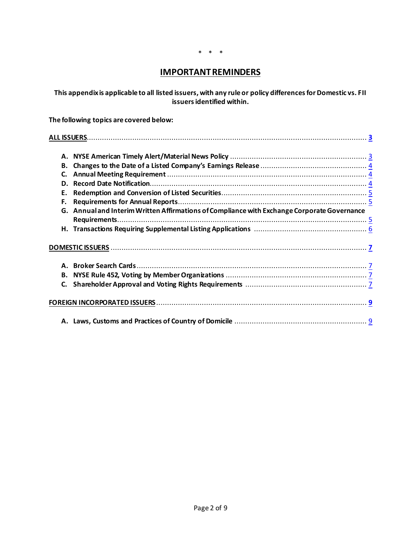#### \* \* \*

# **IMPORTANT REMINDERS**

**This appendix is applicable to all listed issuers, with any rule or policy differences for Domestic vs. FII issuers identified within.**

**The following topics are covered below:** 

| C. |                                                                                             |  |
|----|---------------------------------------------------------------------------------------------|--|
|    |                                                                                             |  |
|    |                                                                                             |  |
| F. |                                                                                             |  |
|    | G. Annual and Interim Written Affirmations of Compliance with Exchange Corporate Governance |  |
|    |                                                                                             |  |
|    |                                                                                             |  |
|    |                                                                                             |  |
|    |                                                                                             |  |
|    |                                                                                             |  |
|    |                                                                                             |  |
|    |                                                                                             |  |
|    |                                                                                             |  |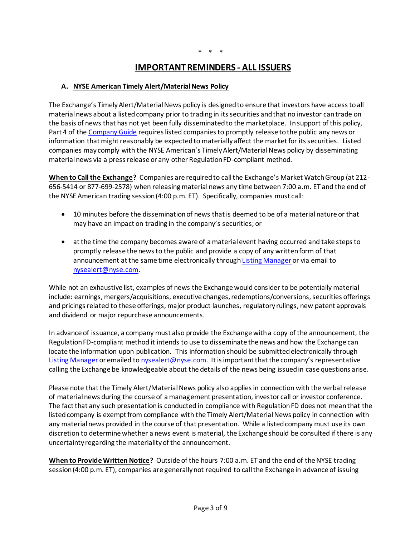# **IMPORTANT REMINDERS - ALL ISSUERS**

#### <span id="page-2-1"></span><span id="page-2-0"></span>**A. NYSE American Timely Alert/Material News Policy**

The Exchange's Timely Alert/Material News policy is designed to ensure that investors have access to all material news about a listed company prior to trading in its securities and that no investor can trade on the basis of news that has not yet been fully disseminated to the marketplace. In support of this policy, [Part 4](http://wallstreet.cch.com/MKTtools/PlatformViewer.asp?SelectedNode=chp_1_1_4&manual=/MKT/CompanyGuide/mkt-company-guide/) of th[e Company Guide](https://nyseamericanguide.srorules.com/company-guide) requires listed companies to promptly release to the public any news or information that might reasonably be expected to materially affect the market for its securities. Listed companies may comply with the NYSE American's Timely Alert/Material News policy by disseminating material news via a press release or any other Regulation FD-compliant method.

**When to Call the Exchange?** Companies are required to call the Exchange's Market Watch Group (at 212- 656-5414 or 877-699-2578) when releasing material news any time between 7:00 a.m. ET and the end of the NYSE American trading session (4:00 p.m. ET). Specifically, companies must call:

- 10 minutes before the dissemination of news that is deemed to be of a material nature or that may have an impact on trading in the company's securities; or
- at the time the company becomes aware of a material event having occurred and take steps to promptly release the news to the public and provide a copy of any written form of that announcement at the same time electronically throug[h Listing Manager](https://listingmanager.nyse.com/) or via email to [nysealert@nyse.com](mailto:nysealert@nyse.com).

While not an exhaustive list, examples of news the Exchange would consider to be potentially material include: earnings, mergers/acquisitions, executive changes, redemptions/conversions, securities offerings and pricings related to these offerings, major product launches, regulatory rulings, new patent approvals and dividend or major repurchase announcements.

In advance of issuance, a company must also provide the Exchange with a copy of the announcement, the Regulation FD-compliant method it intends to use to disseminate the news and how the Exchange can locate the information upon publication. This information should be submitted electronically through [Listing Manager](https://listingmanager.nyse.com/) or emailed t[o nysealert@nyse.com](mailto:nysealert@nyse.com). It is important that the company's representative calling the Exchange be knowledgeable about the details of the news being issued in case questions arise.

Please note that the Timely Alert/Material News policy also applies in connection with the verbal release of material news during the course of a management presentation, investor call or investor conference. The fact that any such presentation is conducted in compliance with Regulation FD does not mean that the listed company is exempt from compliance with the Timely Alert/Material News policy in connection with any material news provided in the course of that presentation. While a listed company must use its own discretion to determine whether a news event is material, the Exchange should be consulted if there is any uncertainty regarding the materiality of the announcement.

**When to Provide Written Notice?** Outside of the hours 7:00 a.m. ET and the end of the NYSE trading session (4:00 p.m. ET), companies are generally not required to call the Exchange in advance of issuing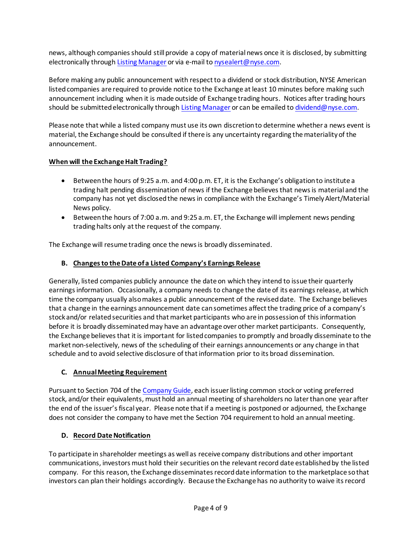news, although companies should still provide a copy of material news once it is disclosed, by submitting electronically throug[h Listing Manager](https://listingmanager.nyse.com/) or via e-mail to [nysealert@nyse.com](mailto:nysealert@nyse.com).

Before making any public announcement with respect to a dividend or stock distribution, NYSE American listed companies are required to provide notice to the Exchange at least 10 minutes before making such announcement including when it is made outside of Exchange trading hours. Notices after trading hours should be submitted electronically throug[h Listing Manager](https://listingmanager.nyse.com/) or can be emailed t[o dividend@nyse.com.](mailto:dividend@nyse.com)

Please note that while a listed company must use its own discretion to determine whether a news event is material, the Exchange should be consulted if there is any uncertainty regarding the materiality of the announcement.

# **When will the Exchange Halt Trading?**

- Between the hours of 9:25 a.m. and 4:00 p.m. ET, it is the Exchange's obligation to institute a trading halt pending dissemination of news if the Exchange believes that news is material and the company has not yet disclosed the news in compliance with the Exchange's Timely Alert/Material News policy.
- Between the hours of 7:00 a.m. and 9:25 a.m. ET, the Exchange will implement news pending trading halts only at the request of the company.

The Exchange will resume trading once the news is broadly disseminated.

# <span id="page-3-0"></span>**B. Changes to the Date of a Listed Company's Earnings Release**

Generally, listed companies publicly announce the date on which they intend to issue their quarterly earnings information. Occasionally, a company needs to change the date of its earnings release, at which time the company usually also makes a public announcement of the revised date. The Exchange believes that a change in the earnings announcement date can sometimes affect the trading price of a company's stock and/or related securities and that market participants who are in possession of this information before it is broadly disseminated may have an advantage over other market participants. Consequently, the Exchange believes that it is important for listed companies to promptly and broadly disseminate to the market non-selectively, news of the scheduling of their earnings announcements or any change in that schedule and to avoid selective disclosure of that information prior to its broad dissemination.

#### <span id="page-3-1"></span>**C. Annual Meeting Requirement**

Pursuant t[o Section 704](http://wallstreet.cch.com/MKTTools/PlatformViewer.asp?searched=1&selectednode=chp_1_1_7_1_3&CiRestriction=704&manual=%2Fmkt%2Fcompanyguide%2Fmkt-company-guide%2F) of th[e Company Guide,](https://nyseamericanguide.srorules.com/company-guide) each issuer listing common stock or voting preferred stock, and/or their equivalents, must hold an annual meeting of shareholders no later than one year after the end of the issuer's fiscal year. Please note that if a meeting is postponed or adjourned, the Exchange does not consider the company to have met the [Section 704](http://nysemanual.nyse.com/LCMTools/PlatformViewer.asp?searched=1&selectednode=chp_1_4_2&CiRestriction=302&manual=%2Flcm%2Fsections%2Flcm-sections%2F) requirement to hold an annual meeting.

#### <span id="page-3-2"></span>**D. Record Date Notification**

To participate in shareholder meetings as well as receive company distributions and other important communications, investors must hold their securities on the relevant record date established by the listed company. For this reason, the Exchange disseminates record date information to the marketplace so that investors can plan their holdings accordingly. Because the Exchange has no authority to waive its record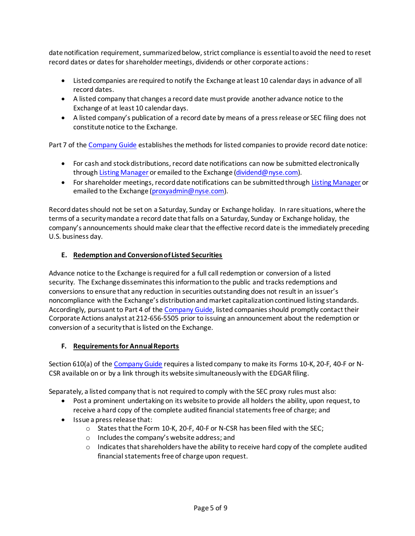date notification requirement, summarized below, strict compliance is essential to avoid the need to reset record dates or dates for shareholder meetings, dividends or other corporate actions:

- Listed companies are required to notify the Exchange at least 10 calendar days in advance of all record dates.
- A listed company that changes a record date must provide another advance notice to the Exchange of at least 10 calendar days.
- A listed company's publication of a record date by means of a press release or SEC filing does not constitute notice to the Exchange.

[Part 7](http://wallstreet.cch.com/MKTtools/PlatformViewer.asp?SelectedNode=chp_1_1_7&manual=/MKT/CompanyGuide/mkt-company-guide/) of th[e Company Guide](https://nyseamericanguide.srorules.com/company-guide) establishes the methods for listed companies to provide record date notice:

- For cash and stock distributions, record date notifications can now be submitted electronically throug[h Listing Manager](https://listingmanager.nyse.com/) or emailed to the Exchange [\(dividend@nyse.com\)](mailto:dividend@nyse.com).
- For shareholder meetings, record date notifications can be submitted throug[h Listing Manager](https://listingmanager.nyse.com/) or emailed to the Exchange [\(proxyadmin@nyse.com\)](mailto:proxyadmin@nyse.com).

Record dates should not be set on a Saturday, Sunday or Exchange holiday. In rare situations, where the terms of a security mandate a record date that falls on a Saturday, Sunday or Exchange holiday, the company's announcements should make clear that the effective record date is the immediately preceding U.S. business day.

# <span id="page-4-0"></span>**E. Redemption and Conversion of Listed Securities**

Advance notice to the Exchange is required for a full call redemption or conversion of a listed security. The Exchange disseminates this information to the public and tracks redemptions and conversions to ensure that any reduction in securities outstanding does not result in an issuer's noncompliance with the Exchange's distribution and market capitalization continued listing standards. Accordingly, pursuant to [Part 4](http://wallstreet.cch.com/MKTtools/PlatformViewer.asp?SelectedNode=chp_1_1_4&manual=/MKT/CompanyGuide/mkt-company-guide/) of th[e Company Guide,](https://nyseamericanguide.srorules.com/company-guide) listed companies should promptly contact their Corporate Actions analyst at 212-656-5505 prior to issuing an announcement about the redemption or conversion of a security that is listed on the Exchange.

#### <span id="page-4-1"></span>**F. Requirements for Annual Reports**

[Section 610\(a\)](http://wallstreet.cch.com/MKTTools/PlatformViewer.asp?searched=1&selectednode=chp_1_1_6_2_1&CiRestriction=610&manual=%2Fmkt%2Fcompanyguide%2Fmkt-company-guide%2F) of th[e Company Guide](https://nyseamericanguide.srorules.com/company-guide) requires a listed company to make its Forms 10-K, 20-F, 40-F or N-CSR available on or by a link through its website simultaneously with the EDGAR filing.

Separately, a listed company that is not required to comply with the SEC proxy rules must also:

- Post a prominent undertaking on its website to provide all holders the ability, upon request, to receive a hard copy of the complete audited financial statements free of charge; and
- Issue a press release that:
	- o States that the Form 10-K, 20-F, 40-F or N-CSR has been filed with the SEC;
	- o Includes the company's website address; and
	- $\circ$  Indicates that shareholders have the ability to receive hard copy of the complete audited financial statements free of charge upon request.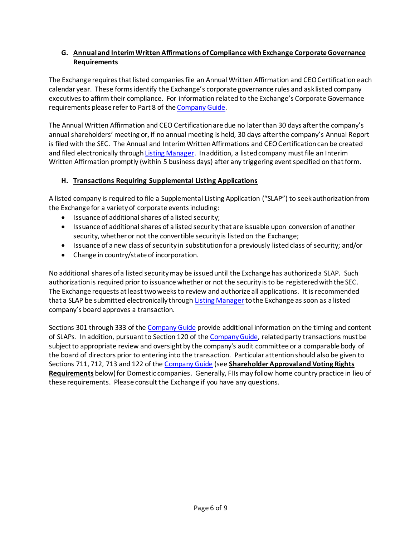# <span id="page-5-0"></span>**G. Annual and Interim Written Affirmations of Compliance with Exchange Corporate Governance Requirements**

The Exchange requires that listed companies file an Annual Written Affirmation and CEO Certification each calendar year. These forms identify the Exchange's corporate governance rules and ask listed company executives to affirm their compliance. For information related to the Exchange's Corporate Governance requirements please refer t[o Part 8](http://wallstreet.cch.com/MKTtools/PlatformViewer.asp?SelectedNode=chp_1_1_8&manual=/MKT/CompanyGuide/mkt-company-guide/) of th[e Company Guide.](https://nyseamericanguide.srorules.com/company-guide)

The Annual Written Affirmation and CEO Certification are due no later than 30 days after the company's annual shareholders' meeting or, if no annual meeting is held, 30 days after the company's Annual Report is filed with the SEC. The Annual and Interim Written Affirmations and CEO Certification can be created and filed electronically throug[h Listing Manager.](https://listingmanager.nyse.com/) In addition, a listed company must file an Interim Written Affirmation promptly (within 5 business days) after any triggering event specified on that form.

# **H. Transactions Requiring Supplemental Listing Applications**

A listed company is required to file a Supplemental Listing Application ("SLAP") to seek authorization from the Exchange for a variety of corporate events including:

- Issuance of additional shares of a listed security;
- Issuance of additional shares of a listed security that are issuable upon conversion of another security, whether or not the convertible security is listed on the Exchange;
- Issuance of a new class of security in substitution for a previously listed class of security; and/or
- Change in country/state of incorporation.

No additional shares of a listed security may be issued until the Exchange has authorized a SLAP. Such authorization is required prior to issuance whether or not the security is to be registered with the SEC. The Exchange requests at least two weeks to review and authorize all applications. It is recommended that a SLAP be submitted electronically through [Listing Manager](https://listingmanager.nyse.com/)tothe Exchange as soon as a listed company's board approves a transaction.

[Sections 301 through 333](http://wallstreet.cch.com/MKTTools/PlatformViewer.asp?searched=1&selectednode=chp%5F1%5F1%5F3%5F1&CiRestriction=301&manual=%2Fmkt%2Fcompanyguide%2Fmkt%2Dcompany%2Dguide%2F) of th[e Company Guide](https://nyseamericanguide.srorules.com/company-guide) provide additional information on the timing and content of SLAPs. In addition, pursuant t[o Section 120](http://wallstreet.cch.com/MKTTools/PlatformViewer.asp?searched=1&selectednode=chp_1_1_1_2_1&CiRestriction=120&manual=%2Fmkt%2Fcompanyguide%2Fmkt-company-guide%2F) of th[e Company Guide,](https://nyseamericanguide.srorules.com/company-guide) related party transactions must be subject to appropriate review and oversight by the company's audit committee or a comparable body of the board of directors prior to entering into the transaction. Particular attention should also be given to [Sections 711,](http://wallstreet.cch.com/MKTTools/PlatformViewer.asp?searched=1&selectednode=chp_1_1_7_2_2&CiRestriction=711&manual=%2Fmkt%2Fcompanyguide%2Fmkt-company-guide%2F) [712,](http://wallstreet.cch.com/MKTTools/PlatformViewer.asp?searched=1&selectednode=chp%5F1%5F1%5F7%5F2%5F3&CiRestriction=712&manual=%2Fmkt%2Fcompanyguide%2Fmkt%2Dcompany%2Dguide%2F) [713](http://wallstreet.cch.com/MKTTools/PlatformViewer.asp?searched=1&selectednode=chp%5F1%5F1%5F7%5F2%5F4&CiRestriction=713&manual=%2Fmkt%2Fcompanyguide%2Fmkt%2Dcompany%2Dguide%2F) an[d 122](http://wallstreet.cch.com/MKTTools/PlatformViewer.asp?searched=1&selectednode=chp_1_1_1_2_3&CiRestriction=122&manual=%2Fmkt%2Fcompanyguide%2Fmkt-company-guide%2F) of th[e Company Guide](https://nyseamericanguide.srorules.com/company-guide) (see **Shareholder Approval and Voting Rights Requirements** below) for Domestic companies. Generally, FIIs may follow home country practice in lieu of these requirements. Please consult the Exchange if you have any questions.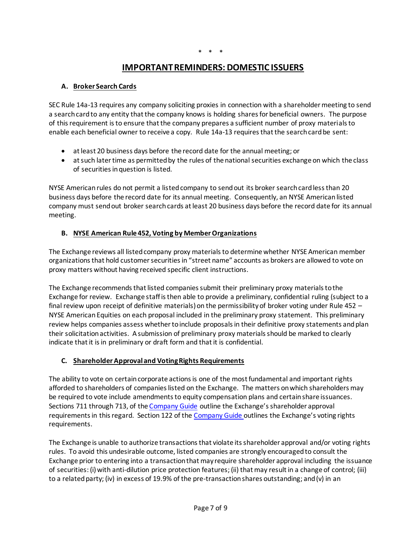# **IMPORTANT REMINDERS: DOMESTIC ISSUERS**

#### <span id="page-6-1"></span><span id="page-6-0"></span>**A. Broker Search Cards**

SEC Rule 14a-13 requires any company soliciting proxies in connection with a shareholder meeting to send a search card to any entity that the company knows is holding shares for beneficial owners. The purpose of this requirement is to ensure that the company prepares a sufficient number of proxy materials to enable each beneficial owner to receive a copy. Rule 14a-13 requires that the search card be sent:

- at least 20 business days before the record date for the annual meeting; or
- at such later time as permitted by the rules of the national securities exchange on which the class of securities in question is listed.

NYSE American rules do not permit a listed company to send out its broker search card less than 20 business days before the record date for its annual meeting. Consequently, an NYSE American listed company must send out broker search cards at least 20 business days before the record date for its annual meeting.

#### <span id="page-6-2"></span>**B. NYSE American Rule 452, Voting by Member Organizations**

The Exchange reviews all listed company proxy materials to determine whether NYSE American member organizations that hold customer securities in "street name" accounts as brokers are allowed to vote on proxy matters without having received specific client instructions.

The Exchange recommends that listed companies submit their preliminary proxy materials to the Exchange for review. Exchange staff is then able to provide a preliminary, confidential ruling (subject to a final review upon receipt of definitive materials) on the permissibility of broker voting under Rule 452 – NYSE American Equities on each proposal included in the preliminary proxy statement. This preliminary review helps companies assess whether to include proposals in their definitive proxy statements and plan their solicitation activities. A submission of preliminary proxy materials should be marked to clearly indicate that it is in preliminary or draft form and that it is confidential.

#### <span id="page-6-3"></span>**C. Shareholder Approval and Voting Rights Requirements**

The ability to vote on certain corporate actions is one of the most fundamental and important rights afforded to shareholders of companies listed on the Exchange. The matters on which shareholders may be required to vote include amendments to equity compensation plans and certain share issuances. [Sections 711 through 713,](http://wallstreet.cch.com/MKTTools/PlatformViewer.asp?searched=1&selectednode=chp%5F1%5F1%5F7%5F2%5F2&CiRestriction=711&manual=%2Fmkt%2Fcompanyguide%2Fmkt%2Dcompany%2Dguide%2F) of th[e Company Guide](https://nyseamericanguide.srorules.com/company-guide) outline the Exchange's shareholder approval requirements in this regard. [Section 122](http://wallstreet.cch.com/MKTTools/PlatformViewer.asp?searched=1&selectednode=chp_1_1_1_2_3&CiRestriction=122&manual=%2Fmkt%2Fcompanyguide%2Fmkt-company-guide%2F) of th[e Company Guide](https://nyseamericanguide.srorules.com/company-guide) outlines the Exchange's voting rights requirements.

The Exchange is unable to authorize transactions that violate its shareholder approval and/or voting rights rules. To avoid this undesirable outcome, listed companies are strongly encouraged to consult the Exchange prior to entering into a transaction that may require shareholder approval including the issuance of securities: (i) with anti-dilution price protection features; (ii) that may result in a change of control; (iii) to a related party; (iv) in excess of 19.9% of the pre-transaction shares outstanding; and (v) in an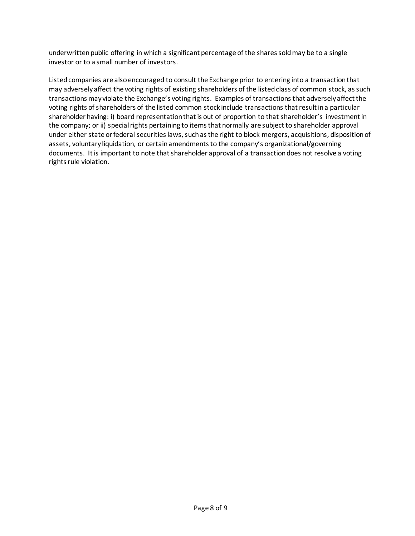underwritten public offering in which a significant percentage of the shares sold may be to a single investor or to a small number of investors.

Listed companies are also encouraged to consult the Exchange prior to entering into a transaction that may adversely affect the voting rights of existing shareholders of the listed class of common stock, as such transactions may violate the Exchange's voting rights. Examples of transactions that adversely affect the voting rights of shareholders of the listed common stock include transactions thatresult in a particular shareholder having: i) board representation that is out of proportion to that shareholder's investment in the company; or ii) special rights pertaining to items that normally are subject to shareholder approval under either state or federal securities laws, such as the right to block mergers, acquisitions, disposition of assets, voluntary liquidation, or certain amendments to the company's organizational/governing documents. It is important to note that shareholder approval of a transaction does not resolve a voting rights rule violation.